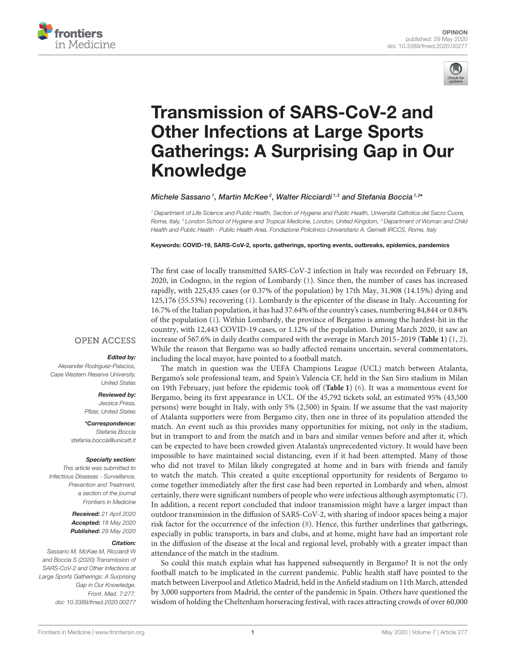



# Transmission of SARS-CoV-2 and Other Infections at Large Sports [Gatherings: A Surprising Gap in Our](https://www.frontiersin.org/articles/10.3389/fmed.2020.00277/full) Knowledge

[Michele Sassano](http://loop.frontiersin.org/people/980750/overview)<sup>1</sup>, [Martin McKee](http://loop.frontiersin.org/people/917471/overview)<sup>2</sup>, [Walter Ricciardi](http://loop.frontiersin.org/people/473142/overview)<sup>1,3</sup> and [Stefania Boccia](http://loop.frontiersin.org/people/403732/overview)<sup>1,3</sup>\*

<sup>1</sup> Department of Life Science and Public Health, Section of Hygiene and Public Health, Università Cattolica del Sacro Cuore, Rome, Italy, <sup>2</sup> London School of Hygiene and Tropical Medicine, London, United Kingdom, <sup>3</sup> Department of Woman and Child Health and Public Health - Public Health Area, Fondazione Policlinico Universitario A. Gemelli IRCCS, Rome, Italy

Keywords: COVID-19, SARS-CoV-2, sports, gatherings, sporting events, outbreaks, epidemics, pandemics

The first case of locally transmitted SARS-CoV-2 infection in Italy was recorded on February 18, 2020, in Codogno, in the region of Lombardy [\(1\)](#page-2-0). Since then, the number of cases has increased rapidly, with 225,435 cases (or 0.37% of the population) by 17th May, 31,908 (14.15%) dying and 125,176 (55.53%) recovering [\(1\)](#page-2-0). Lombardy is the epicenter of the disease in Italy. Accounting for 16.7% of the Italian population, it has had 37.64% of the country's cases, numbering 84,844 or 0.84% of the population [\(1\)](#page-2-0). Within Lombardy, the province of Bergamo is among the hardest-hit in the country, with 12,443 COVID-19 cases, or 1.12% of the population. During March 2020, it saw an increase of 567.6% in daily deaths compared with the average in March 2015–2019 (**[Table 1](#page-1-0)**) [\(1,](#page-2-0) [2\)](#page-2-1). While the reason that Bergamo was so badly affected remains uncertain, several commentators, including the local mayor, have pointed to a football match.

**OPEN ACCESS** 

### Edited by:

Alexander Rodriguez-Palacios, Case Western Reserve University, United States

#### Reviewed by:

Jessica Presa, Pfizer, United States

\*Correspondence: Stefania Boccia [stefania.boccia@unicatt.it](mailto:stefania.boccia@unicatt.it)

#### Specialty section:

This article was submitted to Infectious Diseases - Surveillance, Prevention and Treatment, a section of the journal Frontiers in Medicine

> Received: 21 April 2020 Accepted: 18 May 2020 Published: 29 May 2020

#### Citation:

Sassano M, McKee M, Ricciardi W and Boccia S (2020) Transmission of SARS-CoV-2 and Other Infections at Large Sports Gatherings: A Surprising Gap in Our Knowledge. Front. Med. 7:277. doi: [10.3389/fmed.2020.00277](https://doi.org/10.3389/fmed.2020.00277)

The match in question was the UEFA Champions League (UCL) match between Atalanta, Bergamo's sole professional team, and Spain's Valencia CF, held in the San Siro stadium in Milan on 19th February, just before the epidemic took off (**[Table 1](#page-1-0)**) [\(6\)](#page-2-2). It was a momentous event for Bergamo, being its first appearance in UCL. Of the 45,792 tickets sold, an estimated 95% (43,500 persons) were bought in Italy, with only 5% (2,500) in Spain. If we assume that the vast majority of Atalanta supporters were from Bergamo city, then one in three of its population attended the match. An event such as this provides many opportunities for mixing, not only in the stadium, but in transport to and from the match and in bars and similar venues before and after it, which can be expected to have been crowded given Atalanta's unprecedented victory. It would have been impossible to have maintained social distancing, even if it had been attempted. Many of those who did not travel to Milan likely congregated at home and in bars with friends and family to watch the match. This created a quite exceptional opportunity for residents of Bergamo to come together immediately after the first case had been reported in Lombardy and when, almost certainly, there were significant numbers of people who were infectious although asymptomatic [\(7\)](#page-2-3). In addition, a recent report concluded that indoor transmission might have a larger impact than outdoor transmission in the diffusion of SARS-CoV-2, with sharing of indoor spaces being a major risk factor for the occurrence of the infection [\(8\)](#page-2-4). Hence, this further underlines that gatherings, especially in public transports, in bars and clubs, and at home, might have had an important role in the diffusion of the disease at the local and regional level, probably with a greater impact than attendance of the match in the stadium. So could this match explain what has happened subsequently in Bergamo? It is not the only

football match to be implicated in the current pandemic. Public health staff have pointed to the match between Liverpool and Atletico Madrid, held in the Anfield stadium on 11th March, attended by 3,000 supporters from Madrid, the center of the pandemic in Spain. Others have questioned the wisdom of holding the Cheltenham horseracing festival, with races attracting crowds of over 60,000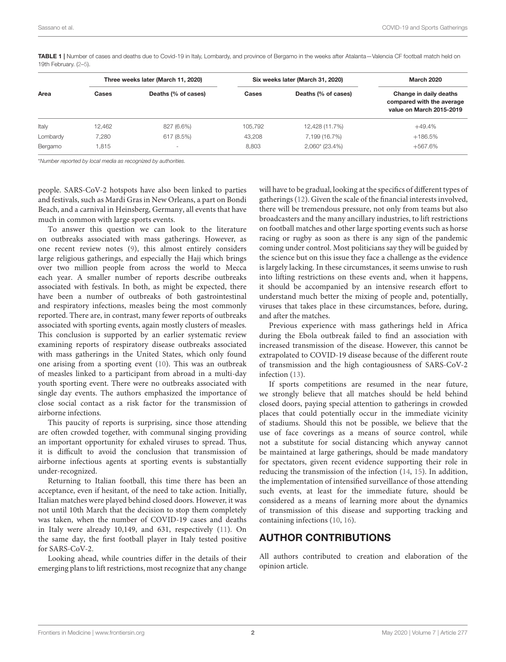| Area     | Three weeks later (March 11, 2020) |                          | Six weeks later (March 31, 2020) |                     | <b>March 2020</b>                                                               |
|----------|------------------------------------|--------------------------|----------------------------------|---------------------|---------------------------------------------------------------------------------|
|          | Cases                              | Deaths (% of cases)      | Cases                            | Deaths (% of cases) | Change in daily deaths<br>compared with the average<br>value on March 2015-2019 |
| Italy    | 12,462                             | 827 (6.6%)               | 105,792                          | 12,428 (11.7%)      | $+49.4%$                                                                        |
| Lombardy | 7.280                              | 617 (8.5%)               | 43,208                           | 7,199 (16.7%)       | $+186.5%$                                                                       |
| Bergamo  | 815. ا                             | $\overline{\phantom{a}}$ | 8,803                            | $2,060*$ (23.4%)    | $+567.6%$                                                                       |
|          |                                    |                          |                                  |                     |                                                                                 |

<span id="page-1-0"></span>TABLE 1 | Number of cases and deaths due to Covid-19 in Italy, Lombardy, and province of Bergamo in the weeks after Atalanta-Valencia CF football match held on 19th February. [\(2](#page-2-1)[–5\)](#page-2-5).

\*Number reported by local media as recognized by authorities.

people. SARS-CoV-2 hotspots have also been linked to parties and festivals, such as Mardi Gras in New Orleans, a part on Bondi Beach, and a carnival in Heinsberg, Germany, all events that have much in common with large sports events.

To answer this question we can look to the literature on outbreaks associated with mass gatherings. However, as one recent review notes [\(9\)](#page-2-6), this almost entirely considers large religious gatherings, and especially the Hajj which brings over two million people from across the world to Mecca each year. A smaller number of reports describe outbreaks associated with festivals. In both, as might be expected, there have been a number of outbreaks of both gastrointestinal and respiratory infections, measles being the most commonly reported. There are, in contrast, many fewer reports of outbreaks associated with sporting events, again mostly clusters of measles. This conclusion is supported by an earlier systematic review examining reports of respiratory disease outbreaks associated with mass gatherings in the United States, which only found one arising from a sporting event [\(10\)](#page-2-7). This was an outbreak of measles linked to a participant from abroad in a multi-day youth sporting event. There were no outbreaks associated with single day events. The authors emphasized the importance of close social contact as a risk factor for the transmission of airborne infections.

This paucity of reports is surprising, since those attending are often crowded together, with communal singing providing an important opportunity for exhaled viruses to spread. Thus, it is difficult to avoid the conclusion that transmission of airborne infectious agents at sporting events is substantially under-recognized.

Returning to Italian football, this time there has been an acceptance, even if hesitant, of the need to take action. Initially, Italian matches were played behind closed doors. However, it was not until 10th March that the decision to stop them completely was taken, when the number of COVID-19 cases and deaths in Italy were already 10,149, and 631, respectively [\(11\)](#page-2-8). On the same day, the first football player in Italy tested positive for SARS-CoV-2.

Looking ahead, while countries differ in the details of their emerging plans to lift restrictions, most recognize that any change will have to be gradual, looking at the specifics of different types of gatherings [\(12\)](#page-2-9). Given the scale of the financial interests involved, there will be tremendous pressure, not only from teams but also broadcasters and the many ancillary industries, to lift restrictions on football matches and other large sporting events such as horse racing or rugby as soon as there is any sign of the pandemic coming under control. Most politicians say they will be guided by the science but on this issue they face a challenge as the evidence is largely lacking. In these circumstances, it seems unwise to rush into lifting restrictions on these events and, when it happens, it should be accompanied by an intensive research effort to understand much better the mixing of people and, potentially, viruses that takes place in these circumstances, before, during, and after the matches.

Previous experience with mass gatherings held in Africa during the Ebola outbreak failed to find an association with increased transmission of the disease. However, this cannot be extrapolated to COVID-19 disease because of the different route of transmission and the high contagiousness of SARS-CoV-2 infection [\(13\)](#page-2-10).

If sports competitions are resumed in the near future, we strongly believe that all matches should be held behind closed doors, paying special attention to gatherings in crowded places that could potentially occur in the immediate vicinity of stadiums. Should this not be possible, we believe that the use of face coverings as a means of source control, while not a substitute for social distancing which anyway cannot be maintained at large gatherings, should be made mandatory for spectators, given recent evidence supporting their role in reducing the transmission of the infection [\(14,](#page-2-11) [15\)](#page-2-12). In addition, the implementation of intensified surveillance of those attending such events, at least for the immediate future, should be considered as a means of learning more about the dynamics of transmission of this disease and supporting tracking and containing infections [\(10,](#page-2-7) [16\)](#page-2-13).

## AUTHOR CONTRIBUTIONS

All authors contributed to creation and elaboration of the opinion article.